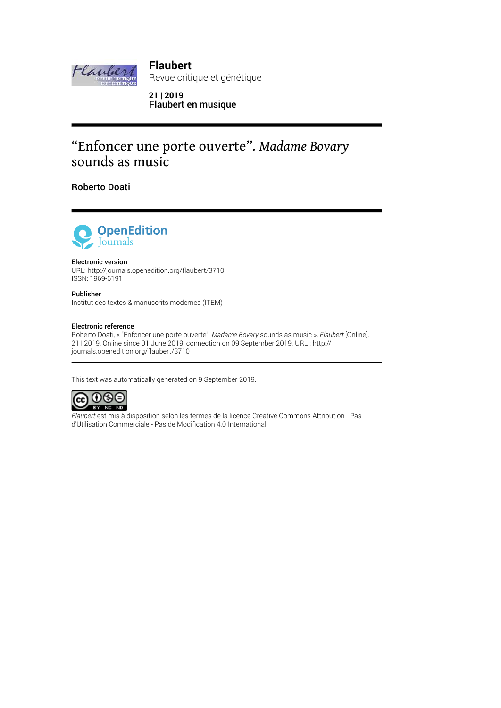

**Flaubert** Revue critique et génétique

**21 | 2019** Flaubert en musique

## "Enfoncer une porte ouverte"*. Madame Bovary* sounds as music

Roberto Doati



#### Electronic version

URL: http://journals.openedition.org/flaubert/3710 ISSN: 1969-6191

Publisher Institut des textes & manuscrits modernes (ITEM)

#### Electronic reference

Roberto Doati, « "Enfoncer une porte ouverte"*. Madame Bovary* sounds as music », *Flaubert* [Online], 21 | 2019, Online since 01 June 2019, connection on 09 September 2019. URL : http:// journals.openedition.org/flaubert/3710

This text was automatically generated on 9 September 2019.



*Flaubert* est mis à disposition selon les termes de la licence Creative Commons Attribution - Pas d'Utilisation Commerciale - Pas de Modification 4.0 International.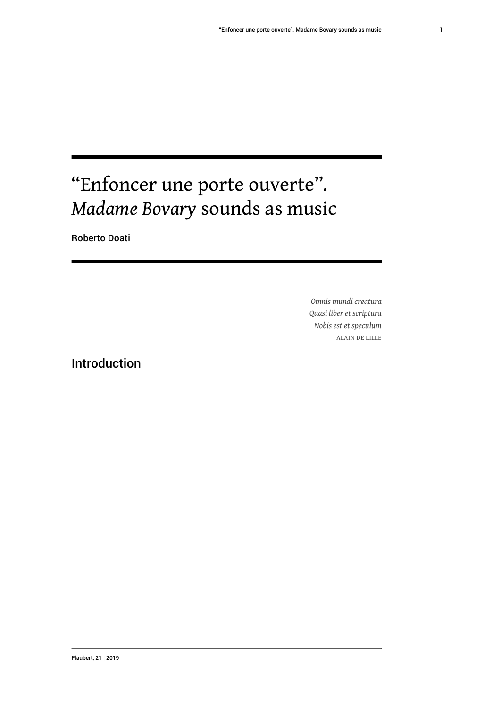# "Enfoncer une porte ouverte"*. Madame Bovary* sounds as music

Roberto Doati

*Omnis mundi creatura Quasi liber et scriptura Nobis est et speculum* ALAIN DE LILLE

### Introduction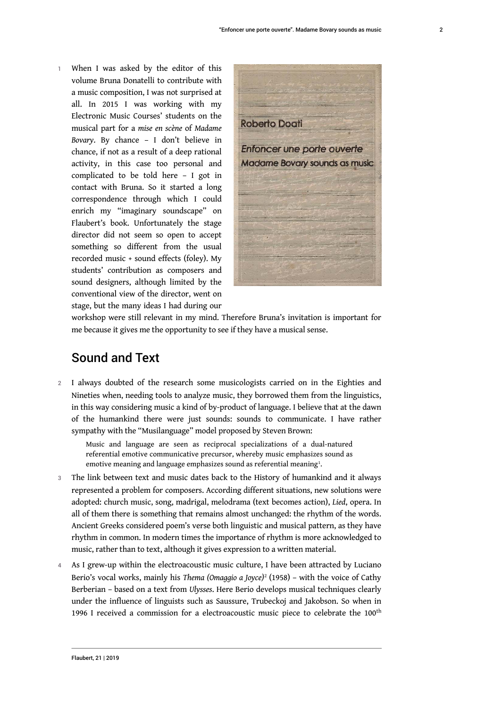1 When I was asked by the editor of this volume Bruna Donatelli to contribute with a music composition, I was not surprised at all. In 2015 I was working with my Electronic Music Courses' students on the musical part for a *mise en scène* of *Madame Bovary*. By chance – I don't believe in chance, if not as a result of a deep rational activity, in this case too personal and complicated to be told here – I got in contact with Bruna. So it started a long correspondence through which I could enrich my "imaginary soundscape" on Flaubert's book. Unfortunately the stage director did not seem so open to accept something so different from the usual recorded music + sound effects (foley). My students' contribution as composers and sound designers, although limited by the conventional view of the director, went on stage, but the many ideas I had during our



workshop were still relevant in my mind. Therefore Bruna's invitation is important for me because it gives me the opportunity to see if they have a musical sense.

### Sound and Text

2 I always doubted of the research some musicologists carried on in the Eighties and Nineties when, needing tools to analyze music, they borrowed them from the linguistics, in this way considering music a kind of by-product of language. I believe that at the dawn of the humankind there were just sounds: sounds to communicate. I have rather sympathy with the "Musilanguage" model proposed by Steven Brown:

Music and language are seen as reciprocal specializations of a dual-natured referential emotive communicative precursor, whereby music emphasizes sound as emotive meaning and language emphasizes sound as referential meaning $^{\scriptscriptstyle 1}$ .

- 3 The link between text and music dates back to the History of humankind and it always represented a problem for composers. According different situations, new solutions were adopted: church music, song, madrigal, melodrama (text becomes action), *Lied*, opera. In all of them there is something that remains almost unchanged: the rhythm of the words. Ancient Greeks considered poem's verse both linguistic and musical pattern, as they have rhythm in common. In modern times the importance of rhythm is more acknowledged to music, rather than to text, although it gives expression to a written material.
- 4 As I grew-up within the electroacoustic music culture, I have been attracted by Luciano Berio's vocal works, mainly his *Thema (Omaggio a Joyce)*<sup>2</sup> (1958) – with the voice of Cathy Berberian – based on a text from *Ulysses*. Here Berio develops musical techniques clearly under the influence of linguists such as Saussure, Trubeckoj and Jakobson. So when in 1996 I received a commission for a electroacoustic music piece to celebrate the 100<sup>th</sup>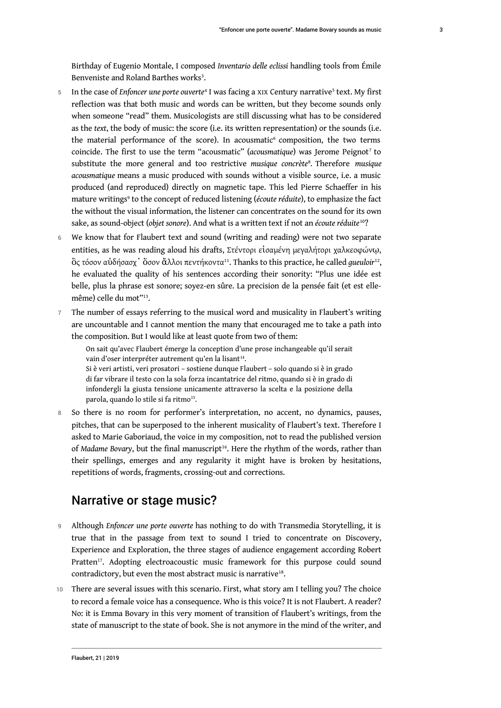- 5 In the case of *Enfoncer une porte ouverte*<sup>4</sup> I was facing a XIX Century narrative<sup>5</sup> text. My first reflection was that both music and words can be written, but they become sounds only when someone "read" them. Musicologists are still discussing what has to be considered as the *text*, the body of music: the score (i.e. its written representation) or the sounds (i.e. the material performance of the score). In acousmatic<sup>6</sup> composition, the two terms coincide. The first to use the term "acousmatic" (acousmatique) was Jerome Peignot<sup>7</sup> to substitute the more general and too restrictive *musique concrète*<sup>8</sup> *.* Therefore *musique acousmatique* means a music produced with sounds without a visible source, i.e. a music produced (and reproduced) directly on magnetic tape. This led Pierre Schaeffer in his mature writings<sup>9</sup> to the concept of reduced listening (écoute réduite), to emphasize the fact the without the visual information, the listener can concentrates on the sound for its own sake, as sound-object (*objet sonore*). And what is a written text if not an *écoute réduite*<sup>10</sup>?
- 6 We know that for Flaubert text and sound (writing and reading) were not two separate entities, as he was reading aloud his drafts, Στέντορι εἰσαμένη μεγαλήτορι χαλκεοφώνῳ,  $\operatorname{\hat{o}}$ ς τόσον αὐδήσασχ ' ὄσον ἄλλοι πεντήκοντα<sup>11</sup>. Thanks to this practice, he called gueuloir<sup>12</sup>, he evaluated the quality of his sentences according their sonority: "Plus une idée est belle, plus la phrase est sonore; soyez-en sûre. La precision de la pensée fait (et est ellemême) celle du mot"<sup>13</sup> .
- 7 The number of essays referring to the musical word and musicality in Flaubert's writing are uncountable and I cannot mention the many that encouraged me to take a path into the composition. But I would like at least quote from two of them:

On sait qu'avec Flaubert émerge la conception d'une prose inchangeable qu'il serait vain d'oser interpréter autrement qu'en la lisant<sup>14</sup>.

Si è veri artisti, veri prosatori – sostiene dunque Flaubert – solo quando si è in grado di far vibrare il testo con la sola forza incantatrice del ritmo, quando si è in grado di infondergli la giusta tensione unicamente attraverso la scelta e la posizione della parola, quando lo stile si fa ritmo<sup>15</sup>.

8 So there is no room for performer's interpretation, no accent, no dynamics, pauses, pitches, that can be superposed to the inherent musicality of Flaubert's text. Therefore I asked to Marie Gaboriaud, the voice in my composition, not to read the published version of *Madame Bovary*, but the final manuscript<sup>16</sup>. Here the rhythm of the words, rather than their spellings, emerges and any regularity it might have is broken by hesitations, repetitions of words, fragments, crossing-out and corrections.

### Narrative or stage music?

- <sup>9</sup>Although *Enfoncer une porte ouverte* has nothing to do with Transmedia Storytelling, it is true that in the passage from text to sound I tried to concentrate on Discovery, Experience and Exploration, the three stages of audience engagement according Robert Pratten<sup>17</sup>. Adopting electroacoustic music framework for this purpose could sound contradictory, but even the most abstract music is narrative $18$ .
- 10 There are several issues with this scenario. First, what story am I telling you? The choice to record a female voice has a consequence. Who is this voice? It is not Flaubert. A reader? No: it is Emma Bovary in this very moment of transition of Flaubert's writings, from the state of manuscript to the state of book. She is not anymore in the mind of the writer, and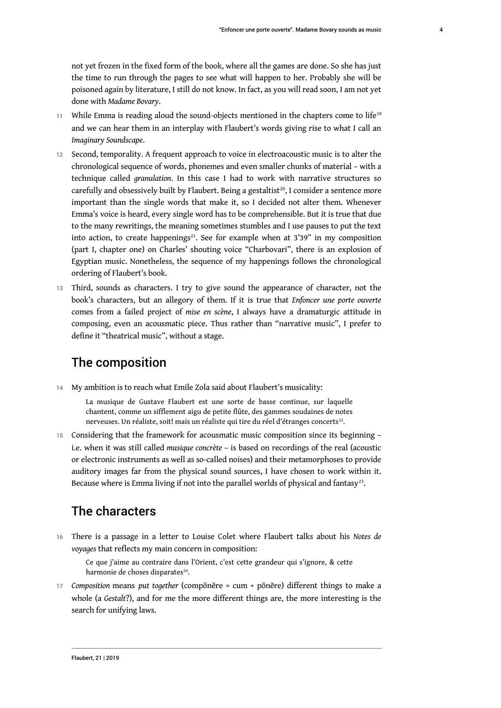not yet frozen in the fixed form of the book, where all the games are done. So she has just the time to run through the pages to see what will happen to her. Probably she will be poisoned again by literature, I still do not know. In fact, as you will read soon, I am not yet done with *Madame Bovary*.

- $11$  While Emma is reading aloud the sound-objects mentioned in the chapters come to life<sup>19</sup> and we can hear them in an interplay with Flaubert's words giving rise to what I call an *Imaginary Soundscape*.
- 12 Second, temporality. A frequent approach to voice in electroacoustic music is to alter the chronological sequence of words, phonemes and even smaller chunks of material – with a technique called *granulation*. In this case I had to work with narrative structures so carefully and obsessively built by Flaubert. Being a gestaltist<sup>20</sup>, I consider a sentence more important than the single words that make it, so I decided not alter them. Whenever Emma's voice is heard, every single word has to be comprehensible. But it is true that due to the many rewritings, the meaning sometimes stumbles and I use pauses to put the text into action, to create happenings<sup>21</sup>. See for example when at  $3'39''$  in my composition (part I, chapter one) on Charles' shouting voice "Charbovari", there is an explosion of Egyptian music. Nonetheless, the sequence of my happenings follows the chronological ordering of Flaubert's book.
- 13 Third, sounds as characters. I try to give sound the appearance of character, not the book's characters, but an allegory of them. If it is true that *Enfoncer une porte ouverte* comes from a failed project of *mise en scène*, I always have a dramaturgic attitude in composing, even an acousmatic piece. Thus rather than "narrative music", I prefer to define it "theatrical music", without a stage.

### The composition

14 My ambition is to reach what Emile Zola said about Flaubert's musicality:

La musique de Gustave Flaubert est une sorte de basse continue, sur laquelle chantent, comme un sifflement aigu de petite flûte, des gammes soudaines de notes nerveuses. Un réaliste, soit! mais un réaliste qui tire du réel d'étranges concerts $^{\scriptscriptstyle 22}$ .

15 Considering that the framework for acousmatic music composition since its beginning – i.e. when it was still called *musique concrète* – is based on recordings of the real (acoustic or electronic instruments as well as so-called noises) and their metamorphoses to provide auditory images far from the physical sound sources, I have chosen to work within it. Because where is Emma living if not into the parallel worlds of physical and fantasy $^{23}$ .

### The characters

<sup>16</sup>There is a passage in a letter to Louise Colet where Flaubert talks about his *Notes de voyages* that reflects my main concern in composition:

Ce que j'aime au contraire dans l'Orient, c'est cette grandeur qui s'ignore, & cette harmonie de choses disparates<sup>24</sup>.

<sup>17</sup>*Composition* means *put together* (compōnĕre = cum + pōnĕre) different things to make a whole (a *Gestalt*?), and for me the more different things are, the more interesting is the search for unifying laws.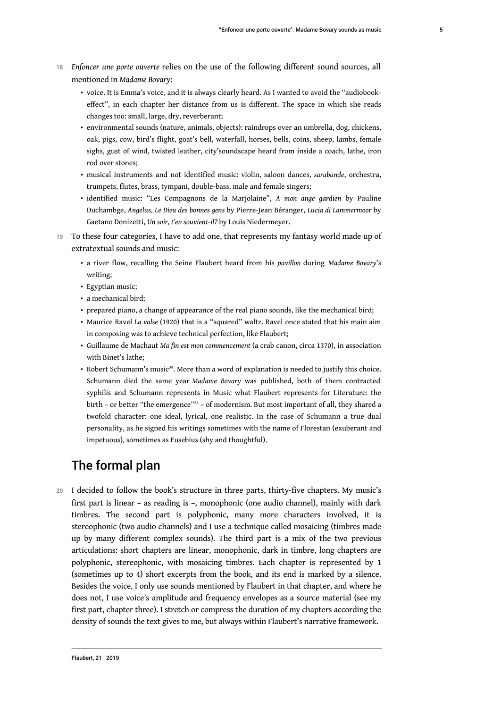- <sup>18</sup>*Enfoncer une porte ouverte* relies on the use of the following different sound sources, all mentioned in *Madame Bovary*:
	- voice. It is Emma's voice, and it is always clearly heard. As I wanted to avoid the "audiobookeffect", in each chapter her distance from us is different. The space in which she reads changes too: small, large, dry, reverberant;
	- environmental sounds (nature, animals, objects): raindrops over an umbrella, dog, chickens, oak, pigs, cow, bird's flight, goat's bell, waterfall, horses, bells, coins, sheep, lambs, female sighs, gust of wind, twisted leather, city'soundscape heard from inside a coach, lathe, iron rod over stones;
	- musical instruments and not identified music: violin, saloon dances, *sarabande*, orchestra, trumpets, flutes, brass, tympani, double-bass, male and female singers;
	- identified music: "Les Compagnons de la Marjolaine", *A mon ange gardien* by Pauline Duchambge, *Angelus*, *Le Dieu des bonnes gens* by Pierre-Jean Béranger, *Lucia di Lammermoor* by Gaetano Donizetti, *Un soir, t'en souvient-il?* by Louis Niedermeyer.
- 19 To these four categories, I have to add one, that represents my fantasy world made up of extratextual sounds and music:
	- a river flow, recalling the Seine Flaubert heard from his *pavillon* during *Madame Bovary*'s writing;
	- Egyptian music;
	- a mechanical bird;
	- prepared piano, a change of appearance of the real piano sounds, like the mechanical bird;
	- Maurice Ravel *La valse* (1920) that is a "squared" waltz. Ravel once stated that his main aim in composing was to achieve technical perfection, like Flaubert;
	- Guillaume de Machaut *Ma fin est mon commencement* (a crab canon, circa 1370), in association with Binet's lathe;
	- Robert Schumann's music<sup>25</sup>. More than a word of explanation is needed to justify this choice. Schumann died the same year *Madame Bovary* was published, both of them contracted syphilis and Schumann represents in Music what Flaubert represents for Literature: the birth - or better "the emergence"<sup>26</sup> - of modernism. But most important of all, they shared a twofold character: one ideal, lyrical, one realistic. In the case of Schumann a true dual personality, as he signed his writings sometimes with the name of Florestan (exuberant and impetuous), sometimes as Eusebius (shy and thoughtful).

### The formal plan

20 I decided to follow the book's structure in three parts, thirty-five chapters. My music's first part is linear – as reading is –, monophonic (one audio channel), mainly with dark timbres. The second part is polyphonic, many more characters involved, it is stereophonic (two audio channels) and I use a technique called mosaicing (timbres made up by many different complex sounds). The third part is a mix of the two previous articulations: short chapters are linear, monophonic, dark in timbre, long chapters are polyphonic, stereophonic, with mosaicing timbres. Each chapter is represented by 1 (sometimes up to 4) short excerpts from the book, and its end is marked by a silence. Besides the voice, I only use sounds mentioned by Flaubert in that chapter, and where he does not, I use voice's amplitude and frequency envelopes as a source material (see my first part, chapter three). I stretch or compress the duration of my chapters according the density of sounds the text gives to me, but always within Flaubert's narrative framework.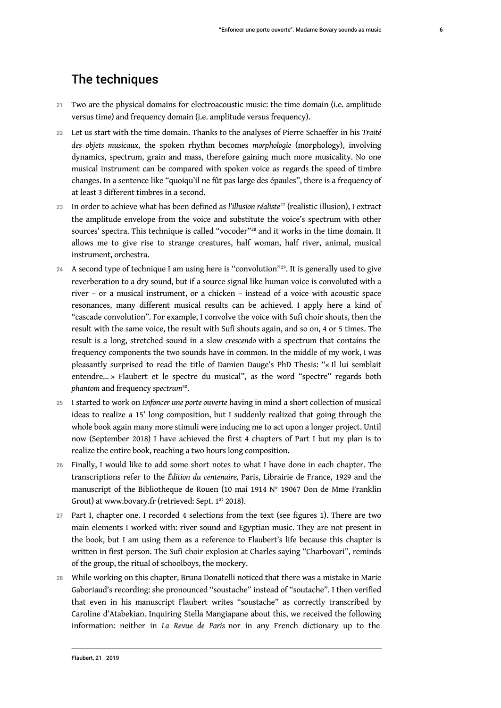### The techniques

- 21 Two are the physical domains for electroacoustic music: the time domain (i.e. amplitude versus time) and frequency domain (i.e. amplitude versus frequency).
- <sup>22</sup>Let us start with the time domain. Thanks to the analyses of Pierre Schaeffer in his *Traité des objets musicaux*, the spoken rhythm becomes *morphologie* (morphology), involving dynamics, spectrum, grain and mass, therefore gaining much more musicality. No one musical instrument can be compared with spoken voice as regards the speed of timbre changes. In a sentence like "quoiqu'il ne fût pas large des épaules", there is a frequency of at least 3 different timbres in a second.
- <sup>23</sup>In order to achieve what has been defined as *l'illusion réaliste*<sup>27</sup> (realistic illusion), I extract the amplitude envelope from the voice and substitute the voice's spectrum with other sources' spectra. This technique is called "vocoder" <sup>28</sup> and it works in the time domain. It allows me to give rise to strange creatures, half woman, half river, animal, musical instrument, orchestra.
- 24 A second type of technique I am using here is "convolution"<sup>29</sup>. It is generally used to give reverberation to a dry sound, but if a source signal like human voice is convoluted with a river – or a musical instrument, or a chicken – instead of a voice with acoustic space resonances, many different musical results can be achieved. I apply here a kind of "cascade convolution". For example, I convolve the voice with Sufi choir shouts, then the result with the same voice, the result with Sufi shouts again, and so on, 4 or 5 times. The result is a long, stretched sound in a slow *crescendo* with a spectrum that contains the frequency components the two sounds have in common. In the middle of my work, I was pleasantly surprised to read the title of Damien Dauge's PhD Thesis: "« Il lui semblait entendre… » Flaubert et le spectre du musical", as the word "spectre" regards both *phantom* and frequency *spectrum*<sup>30</sup> .
- <sup>25</sup>I started to work on *Enfoncer une porte ouverte* having in mind a short collection of musical ideas to realize a 15' long composition, but I suddenly realized that going through the whole book again many more stimuli were inducing me to act upon a longer project. Until now (September 2018) I have achieved the first 4 chapters of Part I but my plan is to realize the entire book, reaching a two hours long composition.
- 26 Finally, I would like to add some short notes to what I have done in each chapter. The transcriptions refer to the *Édition du centenaire,* Paris, Librairie de France, 1929 and the manuscript of the Bibliotheque de Rouen (10 mai 1914 N° 19067 Don de Mme Franklin Grout) at www.bovary.fr (retrieved: Sept. 1<sup>st</sup> 2018).
- 27 Part I, chapter one. I recorded 4 selections from the text (see figures 1). There are two main elements I worked with: river sound and Egyptian music. They are not present in the book, but I am using them as a reference to Flaubert's life because this chapter is written in first-person. The Sufi choir explosion at Charles saying "Charbovari", reminds of the group, the ritual of schoolboys, the mockery.
- 28 While working on this chapter, Bruna Donatelli noticed that there was a mistake in Marie Gaboriaud's recording: she pronounced "soustache" instead of "soutache". I then verified that even in his manuscript Flaubert writes "soustache" as correctly transcribed by Caroline d'Atabekian. Inquiring Stella Mangiapane about this, we received the following information: neither in *La Revue de Paris* nor in any French dictionary up to the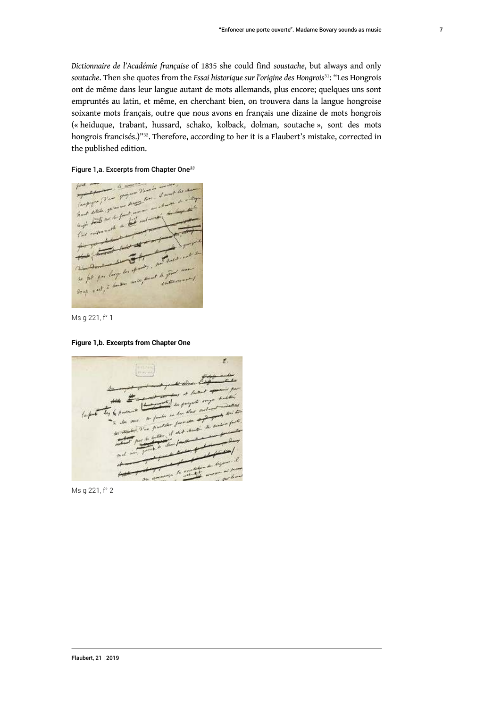*Dictionnaire de l'Académie française* of 1835 she could find *soustache*, but always and only *soutache*. Then she quotes from the *Essai historique sur l'origine des Hongrois*<sup>31</sup>: "Les Hongrois ont de même dans leur langue autant de mots allemands, plus encore; quelques uns sont empruntés au latin, et même, en cherchant bien, on trouvera dans la langue hongroise soixante mots français, outre que nous avons en français une dizaine de mots hongrois (« heiduque, trabant, hussard, schako, kolback, dolman, soutache », sont des mots hongrois francisés.)"<sup>32</sup> . Therefore, according to her it is a Flaubert's mistake, corrected in the published edition.

#### Figure 1,a. Excerpts from Chapter One*<sup>33</sup>*



Ms g 221, f° 1

#### **Figure 1,b. Excerpts from Chapter One**



Ms g 221, f° 2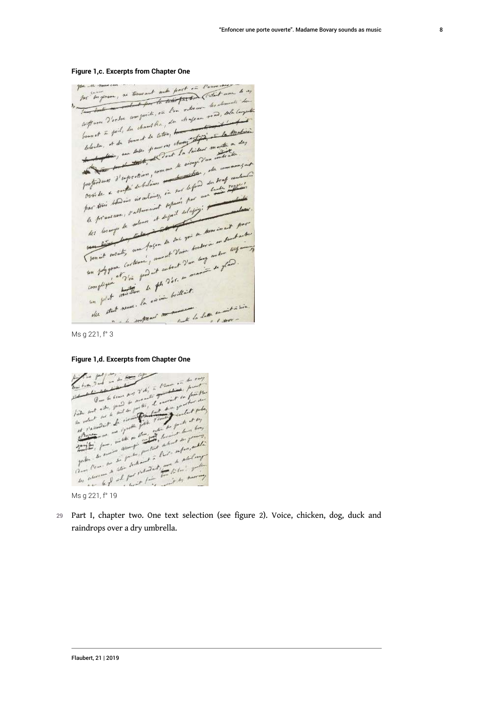for in yours , no trous out with part on Power in gree the none can for "In genove, no trous out with proof on Power work to my for in genera, ne trous out and the fact took (what were any of Tous tout a porter composite, on low orter we are the computer laft were d'arbre composition, de chapau mais Contract in the fact, de chant the color to the first the Medicine houset à faire, sous et de later, au change of partie de Mader belowton, at de pour les pour res chartes montes and professions d'experience pour monde de la proposition de la commence de la proposition de la commence de la proposition de la proposition de la proposition de la proposition de la proposition de la proposition de la propos portant de la proprietation pour le contre le mondant profondunt d'expression : aux défendant pour le profondunt par train bowing is whomever separate the point of the property of the part of the part of the part of the part le prement : Paris et définit aux parties des pourses pour des los argentes aux faços de son per desse au dentroit pour what, and factor the fact you trader is an dentrois Then int antaly and a growth day of the content of the content of the content of the content of the content of the content of the content of the content of the content of the content of the content of the content of the co complished with the file brilliant ment la lite montation tant neuer

#### **Figure 1,c. Excerpts from Chapter One**

Ms g 221, f° 3

#### **Figure 1,d. Excerpts from Chapter One**



Ms g 221, f° 19

29 Part I, chapter two. One text selection (see figure 2). Voice, chicken, dog, duck and raindrops over a dry umbrella.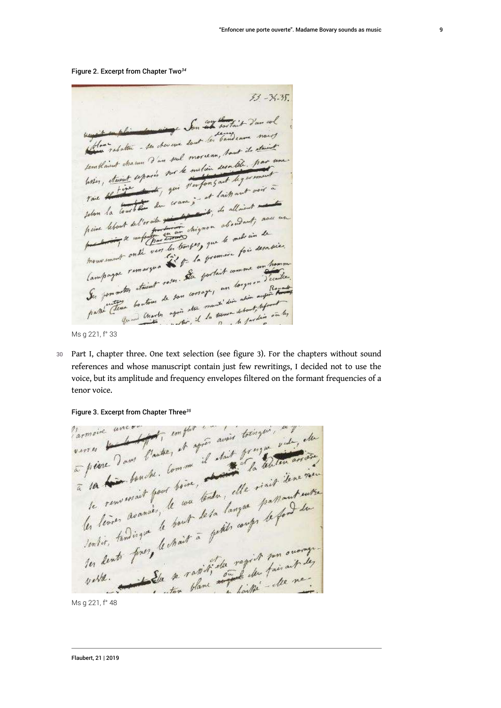Figure 2. Excerpt from Chapter Two*<sup>34</sup>*

 $53 - 34 - 35$ unit en plus de ming Son 27 toutait d'un cel unique en plus alon ming Jon est sortant o nous then relation - ses there we don't in vanishing to staint templaint charm d'un seul morseau, haut ils attenues voir, etained and puis temporisont des voirs à raie Harten du cramp et laittant vous point lebert del'or alle pour choise autres aux en mouvement onde vers les soirs de premiere fois desable.<br>Campagne remarque de la pretait comme un homme Barthe Clean boursons open the mouth dive abien support the transmit on the form on the chapters without sound<br>Ms g 221, f° 33<br>30 Part I, chapter three. One text selection (see figure 3). For the chapters without sound

Ms g 221, f° 33

references and whose manuscript contain just few rewritings, I decided not to use the voice, but its amplitude and frequency envelopes filtered on the formant frequencies of a tenor voice.

Figure 3. Excerpt from Chapter Three*<sup>35</sup>*

la terre bondu. boire, elle rigit denement le renserait four de va tendre, elle passant suits vette. Les se ratisfiels regist son ouarge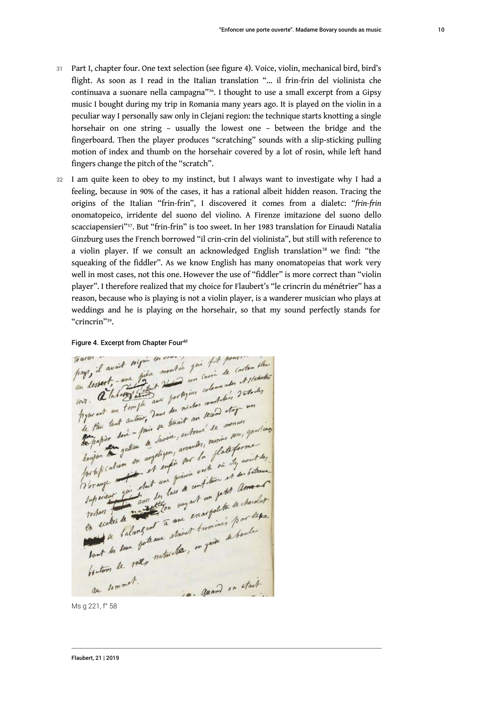- Part I, chapter four. One text selection (see figure 4). Voice, violin, mechanical bird, bird's flight. As soon as I read in the Italian translation "... il frin-frin del violinista che continuava a suonare nella campagna"<sup>36</sup>. I thought to use a small excerpt from a Gipsy music I bought during my trip in Romania many years ago. It is played on the violin in a peculiar way I personally saw only in Clejani region: the technique starts knotting a single horsehair on one string – usually the lowest one – between the bridge and the fingerboard. Then the player produces "scratching" sounds with a slip-sticking pulling motion of index and thumb on the horsehair covered by a lot of rosin, while left hand fingers change the pitch of the "scratch".
- 32 I am quite keen to obey to my instinct, but I always want to investigate why I had a feeling, because in 90% of the cases, it has a rational albeit hidden reason. Tracing the origins of the Italian "frin-frin", I discovered it comes from a dialetc: "*frin-frin* onomatopeico, irridente del suono del violino. A Firenze imitazione del suono dello scacciapensieri"<sup>37</sup>. But "frin-frin" is too sweet. In her 1983 translation for Einaudi Natalia Ginzburg uses the French borrowed "il crin-crin del violinista", but still with reference to a violin player. If we consult an acknowledged English translation<sup>38</sup> we find: "the squeaking of the fiddler". As we know English has many onomatopeias that work very well in most cases, not this one. However the use of "fiddler" is more correct than "violin player". I therefore realized that my choice for Flaubert's "le crincrin du ménétrier" has a reason, because who is playing is not a violin player, is a wanderer musician who plays at weddings and he is playing *on* the horsehair, so that my sound perfectly stands for "crincrin"<sup>39</sup>.

Figure 4. Excerpt from Chapter Four<sup>40</sup><br>Travel, il avait tripic montre pri fit pour carton them<br>from destate - and figure montre un carrie de carton them<br>an destate - and figure portogies colonnates de fortales in dessert, and different the portogies colomnates transmitted with the test and terminal the minder would stay and the test and the same of the test and the moment pyses and un tent autour, dans des mondes au second etage the thin tent autour, one tenant au moment parties to papier dont a lavis , enton, paris des interestes to pay the gatement anything amount of flat former they are the fact the said the for the fall of the first was a confitune of so battament Tup sieur for deux des les fais de competite de chardier roches de la langue de la margalette de choices en scales de la languer à une staint terminer pour . quand on stail au sommet.

Ms g 221, f° 58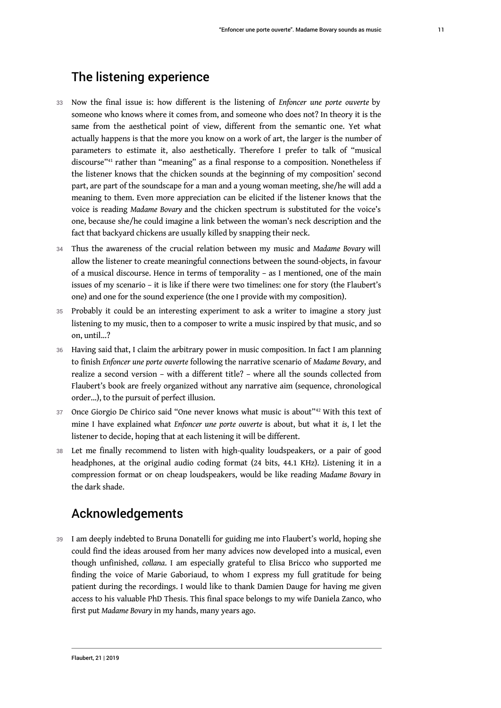### The listening experience

- <sup>33</sup>Now the final issue is: how different is the listening of *Enfoncer une porte ouverte* by someone who knows where it comes from, and someone who does not? In theory it is the same from the aesthetical point of view, different from the semantic one. Yet what actually happens is that the more you know on a work of art, the larger is the number of parameters to estimate it, also aesthetically. Therefore I prefer to talk of "musical discourse"<sup>41</sup> rather than "meaning" as a final response to a composition. Nonetheless if the listener knows that the chicken sounds at the beginning of my composition' second part, are part of the soundscape for a man and a young woman meeting, she/he will add a meaning to them. Even more appreciation can be elicited if the listener knows that the voice is reading *Madame Bovary* and the chicken spectrum is substituted for the voice's one, because she/he could imagine a link between the woman's neck description and the fact that backyard chickens are usually killed by snapping their neck.
- <sup>34</sup>Thus the awareness of the crucial relation between my music and *Madame Bovary* will allow the listener to create meaningful connections between the sound-objects, in favour of a musical discourse. Hence in terms of temporality – as I mentioned, one of the main issues of my scenario – it is like if there were two timelines: one for story (the Flaubert's one) and one for the sound experience (the one I provide with my composition).
- 35 Probably it could be an interesting experiment to ask a writer to imagine a story just listening to my music, then to a composer to write a music inspired by that music, and so on, until...?
- 36 Having said that, I claim the arbitrary power in music composition. In fact I am planning to finish *Enfoncer une porte ouverte* following the narrative scenario of *Madame Bovary*, and realize a second version – with a different title? – where all the sounds collected from Flaubert's book are freely organized without any narrative aim (sequence, chronological order...), to the pursuit of perfect illusion.
- 37 Once Giorgio De Chirico said "One never knows what music is about"<sup>42</sup> With this text of mine I have explained what *Enfoncer une porte ouverte* is about, but what it *is*, I let the listener to decide, hoping that at each listening it will be different.
- 38 Let me finally recommend to listen with high-quality loudspeakers, or a pair of good headphones, at the original audio coding format (24 bits, 44.1 KHz). Listening it in a compression format or on cheap loudspeakers, would be like reading *Madame Bovary* in the dark shade.

### Acknowledgements

39 I am deeply indebted to Bruna Donatelli for guiding me into Flaubert's world, hoping she could find the ideas aroused from her many advices now developed into a musical, even though unfinished, *collana*. I am especially grateful to Elisa Bricco who supported me finding the voice of Marie Gaboriaud, to whom I express my full gratitude for being patient during the recordings. I would like to thank Damien Dauge for having me given access to his valuable PhD Thesis. This final space belongs to my wife Daniela Zanco, who first put *Madame Bovary* in my hands, many years ago.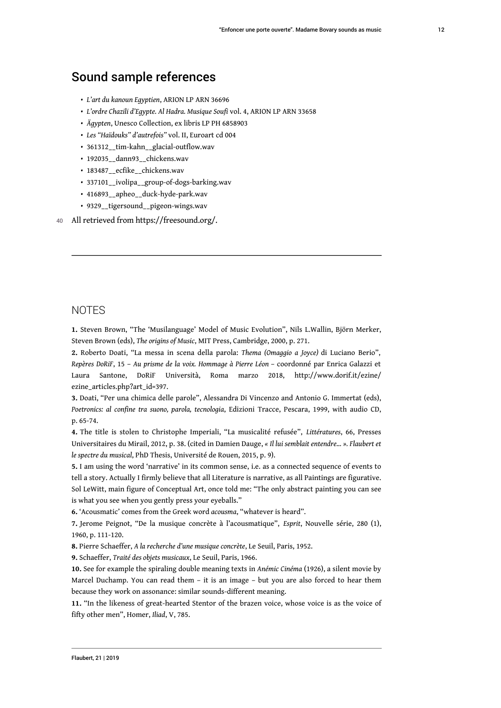### Sound sample references

- *L'art du kanoun Egyptien*, ARION LP ARN 36696
- *L'ordre Chazili d'Egypte. Al Hadra. Musique Soufi* vol. 4, ARION LP ARN 33658
- *Ägypten*, Unesco Collection, ex libris LP PH 6858903
- *Les "Haïdouks" d'autrefois"* vol. II, Euroart cd 004
- 361312\_\_tim-kahn\_\_glacial-outflow.wav
- 192035 dann93 chickens.wav
- 183487 ecfike chickens.wav
- 337101\_\_ivolipa\_\_group-of-dogs-barking.wav
- 416893\_\_apheo\_\_duck-hyde-park.wav
- 9329\_\_tigersound\_\_pigeon-wings.wav

40 All retrieved from https://freesound.org/.

### **NOTES**

**1.** Steven Brown, "The 'Musilanguage' Model of Music Evolution", Nils L.Wallin, Björn Merker, Steven Brown (eds), *The origins of Music*, MIT Press, Cambridge, 2000, p. 271.

**2.** Roberto Doati, "La messa in scena della parola: *Thema (Omaggio a Joyce)* di Luciano Berio", *Repères DoRiF*, 15 – *Au prisme de la voix. Hommage à Pierre Léon* – coordonné par Enrica Galazzi et Laura Santone, DoRiF Università, Roma marzo 2018, http://www.dorif.it/ezine/ ezine\_articles.php?art\_id=397.

**3.** Doati, "Per una chimica delle parole", Alessandra Di Vincenzo and Antonio G. Immertat (eds), *Poetronics: al confine tra suono, parola, tecnologia*, Edizioni Tracce, Pescara, 1999, with audio CD, p. 65-74.

**4.** The title is stolen to Christophe Imperiali, "La musicalité refusée", *Littératures*, 66, Presses Universitaires du Mirail, 2012, p. 38. (cited in Damien Dauge, *« Il lui semblait entendre… ». Flaubert et le spectre du musical*, PhD Thesis, Université de Rouen, 2015, p. 9).

**5.** I am using the word 'narrative' in its common sense, i.e. as a connected sequence of events to tell a story. Actually I firmly believe that all Literature is narrative, as all Paintings are figurative. Sol LeWitt, main figure of Conceptual Art, once told me: "The only abstract painting you can see is what you see when you gently press your eyeballs."

**6.** 'Acousmatic' comes from the Greek word *acousma*, "whatever is heard".

**7.** Jerome Peignot, "De la musique concrète à l'acousmatique", *Esprit*, Nouvelle série, 280 (1), 1960, p. 111-120.

**8.** Pierre Schaeffer, *A la recherche d'une musique concrète*, Le Seuil, Paris, 1952.

**9.** Schaeffer, *Traité des objets musicaux*, Le Seuil, Paris, 1966.

**10.** See for example the spiraling double meaning texts in *Anémic Cinéma* (1926), a silent movie by Marcel Duchamp. You can read them – it is an image – but you are also forced to hear them because they work on assonance: similar sounds-different meaning.

**11.** "In the likeness of great-hearted Stentor of the brazen voice, whose voice is as the voice of fifty other men", Homer, *Iliad*, V, 785.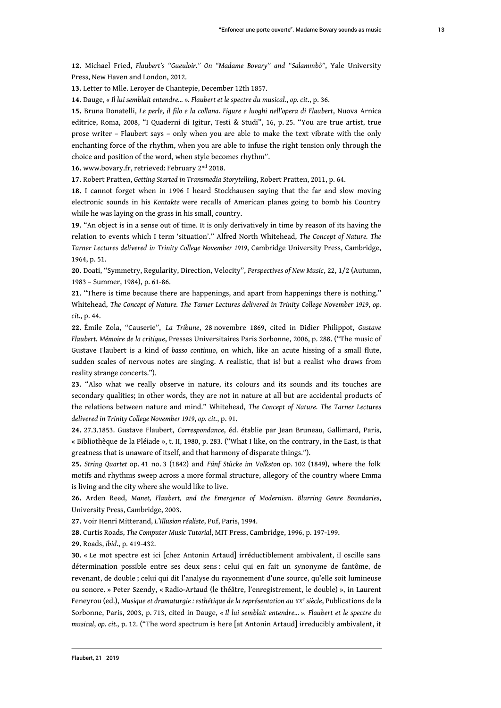**12.** Michael Fried, *Flaubert's "Gueuloir." On "Madame Bovary" and "Salammbô"*, Yale University Press, New Haven and London, 2012.

**13.** Letter to Mlle. Leroyer de Chantepie, December 12th 1857.

**14.** Dauge, *« Il lui semblait entendre… ». Flaubert et le spectre du musical*., *op. cit*., p. 36.

**15.** Bruna Donatelli, *Le perle, il filo e la collana. Figure e luoghi nell'opera di Flaubert*, Nuova Arnica editrice, Roma, 2008, "I Quaderni di Igitur, Testi & Studi", 16, p. 25. "You are true artist, true prose writer – Flaubert says – only when you are able to make the text vibrate with the only enchanting force of the rhythm, when you are able to infuse the right tension only through the choice and position of the word, when style becomes rhythm".

**16.** www.bovary.fr, retrieved: February 2nd 2018.

**17.** Robert Pratten, *Getting Started in Transmedia Storytelling*, Robert Pratten, 2011, p. 64.

**18.** I cannot forget when in 1996 I heard Stockhausen saying that the far and slow moving electronic sounds in his *Kontakte* were recalls of American planes going to bomb his Country while he was laying on the grass in his small, country.

**19.** "An object is in a sense out of time. It is only derivatively in time by reason of its having the relation to events which I term 'situation'." Alfred North Whitehead, *The Concept of Nature. The Tarner Lectures delivered in Trinity College November 1919*, Cambridge University Press, Cambridge, 1964, p. 51.

**20.** Doati, "Symmetry, Regularity, Direction, Velocity", *Perspectives of New Music*, 22, 1/2 (Autumn, 1983 – Summer, 1984), p. 61-86.

**21.** "There is time because there are happenings, and apart from happenings there is nothing." Whitehead, *The Concept of Nature. The Tarner Lectures delivered in Trinity College November 1919*, *op. cit.*, p. 44.

**22.** Émile Zola, "Causerie", *La Tribune*, 28 novembre 1869, cited in Didier Philippot, *Gustave Flaubert. Mémoire de la critique*, Presses Universitaires Paris Sorbonne, 2006, p. 288. ("The music of Gustave Flaubert is a kind of *basso continuo*, on which, like an acute hissing of a small flute, sudden scales of nervous notes are singing. A realistic, that is! but a realist who draws from reality strange concerts.").

**23.** "Also what we really observe in nature, its colours and its sounds and its touches are secondary qualities; in other words, they are not in nature at all but are accidental products of the relations between nature and mind." Whitehead, *The Concept of Nature. The Tarner Lectures delivered in Trinity College November 1919*, *op. cit.*, p. 91.

**24.** 27.3.1853. Gustave Flaubert, *Correspondance*, éd. établie par Jean Bruneau, Gallimard, Paris, « Bibliothèque de la Pléiade », t. II, 1980, p. 283. ("What I like, on the contrary, in the East, is that greatness that is unaware of itself, and that harmony of disparate things.").

**25.** *String Quartet* op. 41 no. 3 (1842) and *Fünf Stücke im Volkston* op. 102 (1849), where the folk motifs and rhythms sweep across a more formal structure, allegory of the country where Emma is living and the city where she would like to live.

**26.** Arden Reed, *Manet, Flaubert, and the Emergence of Modernism. Blurring Genre Boundaries*, University Press, Cambridge, 2003.

**27.** Voir Henri Mitterand, *L'Illusion réaliste*, Puf, Paris, 1994.

**28.** Curtis Roads, *The Computer Music Tutorial*, MIT Press, Cambridge, 1996, p. 197-199.

**29.** Roads, *ibid.*, p. 419-432.

**30.** « Le mot spectre est ici [chez Antonin Artaud] irréductiblement ambivalent, il oscille sans détermination possible entre ses deux sens : celui qui en fait un synonyme de fantôme, de revenant, de double ; celui qui dit l'analyse du rayonnement d'une source, qu'elle soit lumineuse ou sonore. » Peter Szendy, « Radio-Artaud (le théâtre, l'enregistrement, le double) », in Laurent Feneyrou (ed.), *Musique et dramaturgie : esthétique de la représentation au XX<sup>e</sup> siècle*, Publications de la Sorbonne, Paris, 2003, p. 713, cited in Dauge, *« Il lui semblait entendre… ». Flaubert et le spectre du musical*, *op. cit.*, p. 12. ("The word spectrum is here [at Antonin Artaud] irreducibly ambivalent, it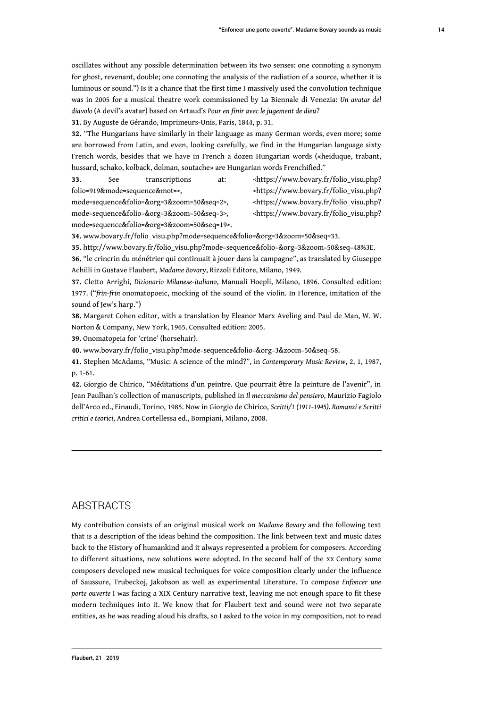oscillates without any possible determination between its two senses: one connoting a synonym for ghost, revenant, double; one connoting the analysis of the radiation of a source, whether it is luminous or sound.") Is it a chance that the first time I massively used the convolution technique was in 2005 for a musical theatre work commissioned by La Biennale di Venezia: *Un avatar del diavolo* (A devil's avatar) based on Artaud's *Pour en finir avec le jugement de dieu*?

**31.** By Auguste de Gérando, Imprimeurs-Unis, Paris, 1844, p. 31.

**32.** "The Hungarians have similarly in their language as many German words, even more; some are borrowed from Latin, and even, looking carefully, we find in the Hungarian language sixty French words, besides that we have in French a dozen Hungarian words («heiduque, trabant, hussard, schako, kolback, dolman, soutache» are Hungarian words Frenchified."

folio=919&mode=sequence&mot=>, <https://www.bovary.fr/folio\_visu.php? mode=sequence&folio=&org=3&zoom=50&seq=2>, <https://www.bovary.fr/folio\_visu.php? mode=sequence&folio=&org=3&zoom=50&seq=3>, <https://www.bovary.fr/folio\_visu.php?

mode=sequence&folio=&org=3&zoom=50&seq=19>.

**33.** See transcriptions at: <https://www.bovary.fr/folio\_visu.php?

**34.** www.bovary.fr/folio\_visu.php?mode=sequence&folio=&org=3&zoom=50&seq=33.

**35.** http://www.bovary.fr/folio\_visu.php?mode=sequence&folio=&org=3&zoom=50&seq=48%3E. **36.** "le crincrin du ménétrier qui continuait à jouer dans la campagne", as translated by Giuseppe Achilli in Gustave Flaubert, *Madame Bovary*, Rizzoli Editore, Milano, 1949.

**37.** Cletto Arrighi, *Dizionario Milanese-italiano*, Manuali Hoepli, Milano, 1896. Consulted edition: 1977. ("*frin-frin* onomatopoeic, mocking of the sound of the violin. In Florence, imitation of the sound of Jew's harp.")

**38.** Margaret Cohen editor, with a translation by Eleanor Marx Aveling and Paul de Man, W. W. Norton & Company, New York, 1965. Consulted edition: 2005.

**39.** Onomatopeia for 'crine' (horsehair).

**40.** www.bovary.fr/folio\_visu.php?mode=sequence&folio=&org=3&zoom=50&seq=58.

**41.** Stephen McAdams, "Music: A science of the mind?", in *Contemporary Music Review*, 2, 1, 1987, p. 1-61.

**42.** Giorgio de Chirico, "Méditations d'un peintre. Que pourrait être la peinture de l'avenir", in Jean Paulhan's collection of manuscripts, published in *Il meccanismo del pensiero*, Maurizio Fagiolo dell'Arco ed., Einaudi, Torino, 1985. Now in Giorgio de Chirico, *Scritti/1 (1911-1945). Romanzi e Scritti critici e teorici*, Andrea Cortellessa ed., Bompiani, Milano, 2008.

#### **ABSTRACTS**

My contribution consists of an original musical work on *Madame Bovary* and the following text that is a description of the ideas behind the composition. The link between text and music dates back to the History of humankind and it always represented a problem for composers. According to different situations, new solutions were adopted. In the second half of the XX Century some composers developed new musical techniques for voice composition clearly under the influence of Saussure, Trubeckoj, Jakobson as well as experimental Literature. To compose *Enfoncer une porte ouverte* I was facing a XIX Century narrative text, leaving me not enough space to fit these modern techniques into it. We know that for Flaubert text and sound were not two separate entities, as he was reading aloud his drafts, so I asked to the voice in my composition, not to read